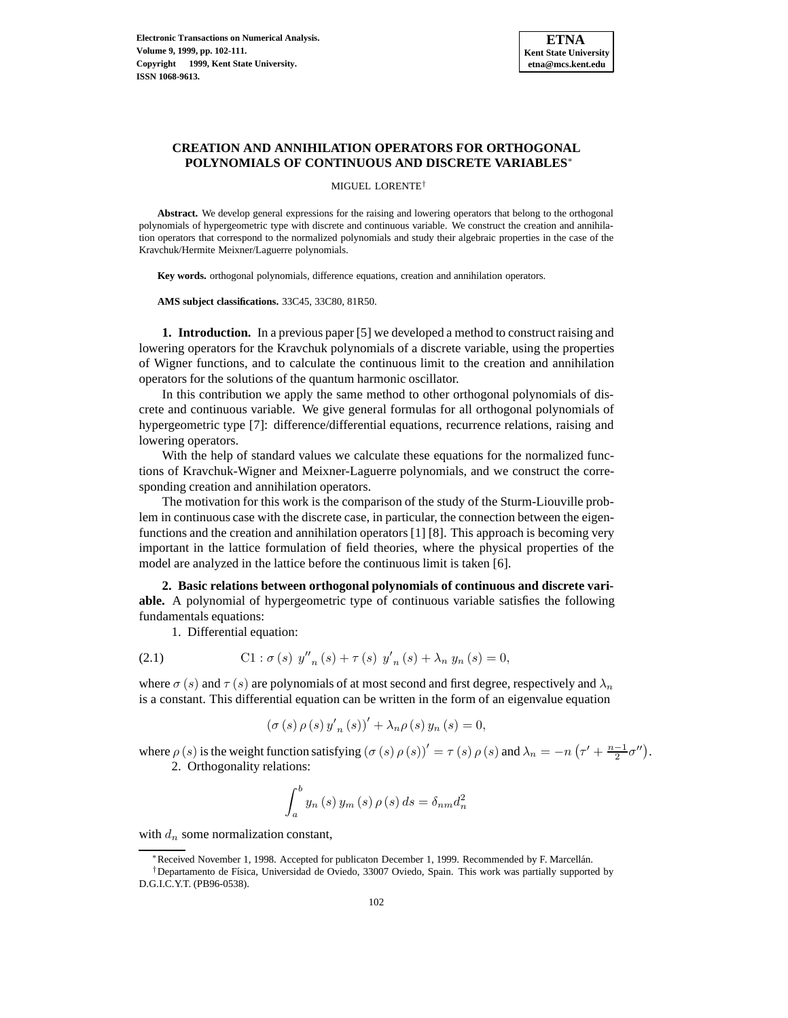

# **CREATION AND ANNIHILATION OPERATORS FOR ORTHOGONAL POLYNOMIALS OF CONTINUOUS AND DISCRETE VARIABLES**<sup>∗</sup>

MIGUEL LORENTE†

**Abstract.** We develop general expressions for the raising and lowering operators that belong to the orthogonal polynomials of hypergeometric type with discrete and continuous variable. We construct the creation and annihilation operators that correspond to the normalized polynomials and study their algebraic properties in the case of the Kravchuk/Hermite Meixner/Laguerre polynomials.

**Key words.** orthogonal polynomials, difference equations, creation and annihilation operators.

**AMS subject classifications.** 33C45, 33C80, 81R50.

**1. Introduction.** In a previous paper [5] we developed a method to construct raising and lowering operators for the Kravchuk polynomials of a discrete variable, using the properties of Wigner functions, and to calculate the continuous limit to the creation and annihilation operators for the solutions of the quantum harmonic oscillator.

In this contribution we apply the same method to other orthogonal polynomials of discrete and continuous variable. We give general formulas for all orthogonal polynomials of hypergeometric type [7]: difference/differential equations, recurrence relations, raising and lowering operators.

With the help of standard values we calculate these equations for the normalized functions of Kravchuk-Wigner and Meixner-Laguerre polynomials, and we construct the corresponding creation and annihilation operators.

The motivation for this work is the comparison of the study of the Sturm-Liouville problem in continuous case with the discrete case, in particular, the connection between the eigenfunctions and the creation and annihilation operators [1] [8]. This approach is becoming very important in the lattice formulation of field theories, where the physical properties of the model are analyzed in the lattice before the continuous limit is taken [6].

**2. Basic relations between orthogonal polynomials of continuous and discrete variable.** A polynomial of hypergeometric type of continuous variable satisfies the following fundamentals equations:

1. Differential equation:

(2.1) 
$$
\text{C1}: \sigma(s) \ y''_{n}(s) + \tau(s) \ y'_{n}(s) + \lambda_{n} y_{n}(s) = 0,
$$

where  $\sigma(s)$  and  $\tau(s)$  are polynomials of at most second and first degree, respectively and  $\lambda_n$ is a constant. This differential equation can be written in the form of an eigenvalue equation

$$
(\sigma (s) \rho (s) y'_{n}(s))' + \lambda_{n} \rho (s) y_{n}(s) = 0,
$$

where  $\rho(s)$  is the weight function satisfying  $(\sigma(s)\rho(s))' = \tau(s)\rho(s)$  and  $\lambda_n = -n\left(\tau' + \frac{n-1}{2}\sigma''\right)$ .

2. Orthogonality relations:

$$
\int_{a}^{b} y_{n}(s) y_{m}(s) \rho(s) ds = \delta_{nm} d_{n}^{2}
$$

with  $d_n$  some normalization constant,

<sup>∗</sup>Received November 1, 1998. Accepted for publicaton December 1, 1999. Recommended by F. Marcell´an.

<sup>&</sup>lt;sup>†</sup>Departamento de Física, Universidad de Oviedo, 33007 Oviedo, Spain. This work was partially supported by D.G.I.C.Y.T. (PB96-0538).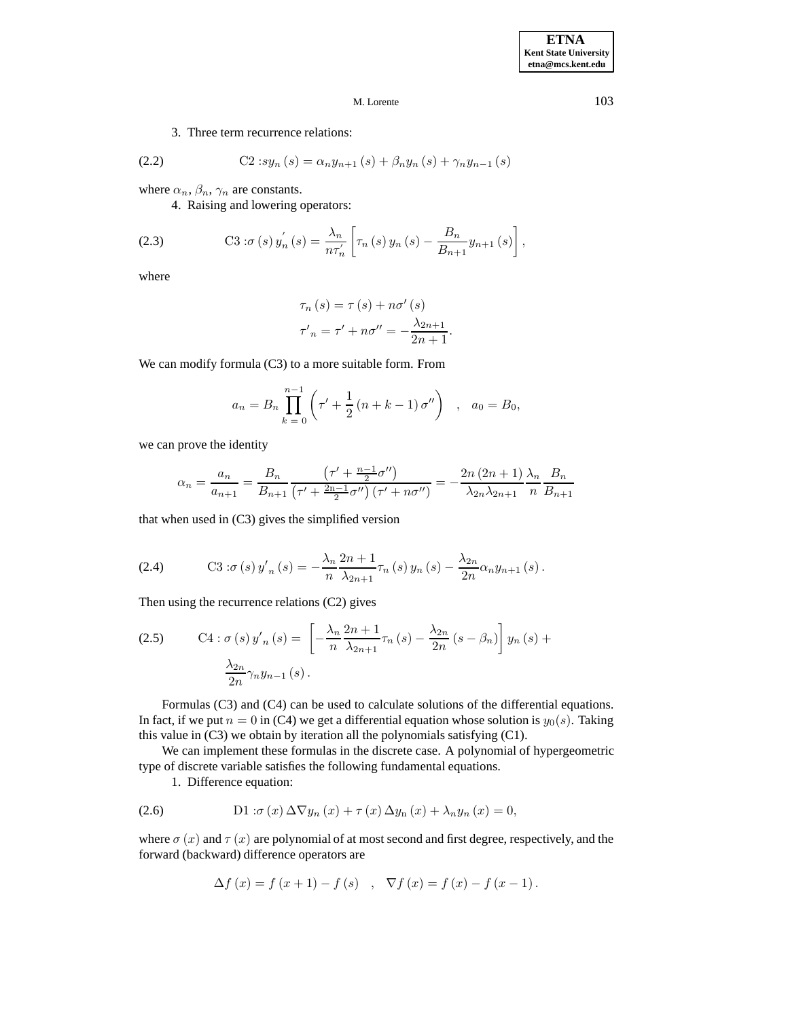3. Three term recurrence relations:

(2.2) 
$$
C2 \, :sy_n(s) = \alpha_n y_{n+1}(s) + \beta_n y_n(s) + \gamma_n y_{n-1}(s)
$$

where  $\alpha_n$ ,  $\beta_n$ ,  $\gamma_n$  are constants.

4. Raising and lowering operators:

(2.3) 
$$
\text{C3}: \sigma(s) y_n^{'}(s) = \frac{\lambda_n}{n \tau_n'} \left[ \tau_n(s) y_n(s) - \frac{B_n}{B_{n+1}} y_{n+1}(s) \right],
$$

where

$$
\tau_n(s) = \tau(s) + n\sigma'(s)
$$
  

$$
\tau'_n = \tau' + n\sigma'' = -\frac{\lambda_{2n+1}}{2n+1}.
$$

We can modify formula (C3) to a more suitable form. From

$$
a_n = B_n \prod_{k=0}^{n-1} \left( \tau' + \frac{1}{2} \left( n + k - 1 \right) \sigma'' \right) , \quad a_0 = B_0,
$$

we can prove the identity

$$
\alpha_n = \frac{a_n}{a_{n+1}} = \frac{B_n}{B_{n+1}} \frac{\left(\tau' + \frac{n-1}{2}\sigma''\right)}{\left(\tau' + \frac{2n-1}{2}\sigma''\right)\left(\tau' + n\sigma''\right)} = -\frac{2n(2n+1)}{\lambda_{2n}\lambda_{2n+1}} \frac{\lambda_n}{n} \frac{B_n}{B_{n+1}}
$$

that when used in (C3) gives the simplified version

(2.4) C3: 
$$
\sigma(s) y'_n(s) = -\frac{\lambda_n}{n} \frac{2n+1}{\lambda_{2n+1}} \tau_n(s) y_n(s) - \frac{\lambda_{2n}}{2n} \alpha_n y_{n+1}(s).
$$

Then using the recurrence relations (C2) gives

(2.5) 
$$
\text{C4}: \sigma(s) y'_n(s) = \left[ -\frac{\lambda_n}{n} \frac{2n+1}{\lambda_{2n+1}} \tau_n(s) - \frac{\lambda_{2n}}{2n} (s - \beta_n) \right] y_n(s) + \frac{\lambda_{2n}}{2n} \gamma_n y_{n-1}(s).
$$

 $\overline{a}$ 

Formulas (C3) and (C4) can be used to calculate solutions of the differential equations. In fact, if we put  $n = 0$  in (C4) we get a differential equation whose solution is  $y_0(s)$ . Taking this value in (C3) we obtain by iteration all the polynomials satisfying (C1).

We can implement these formulas in the discrete case. A polynomial of hypergeometric type of discrete variable satisfies the following fundamental equations.

1. Difference equation:

(2.6) 
$$
\text{D1}: \sigma(x) \Delta \nabla y_n(x) + \tau(x) \Delta y_n(x) + \lambda_n y_n(x) = 0,
$$

where  $\sigma(x)$  and  $\tau(x)$  are polynomial of at most second and first degree, respectively, and the forward (backward) difference operators are

$$
\Delta f(x) = f(x + 1) - f(s) , \nabla f(x) = f(x) - f(x - 1).
$$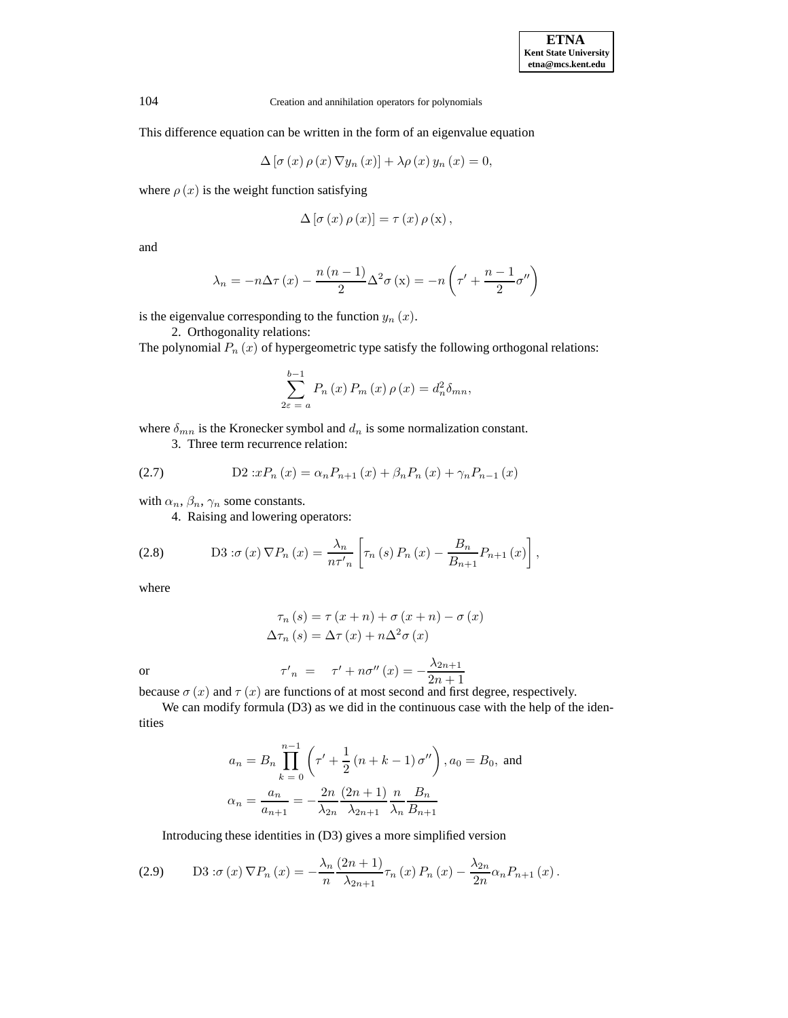This difference equation can be written in the form of an eigenvalue equation

$$
\Delta\left[\sigma\left(x\right)\rho\left(x\right)\nabla y_n\left(x\right)\right] + \lambda\rho\left(x\right)y_n\left(x\right) = 0,
$$

where  $\rho(x)$  is the weight function satisfying

$$
\Delta\left[\sigma\left(x\right)\rho\left(x\right)\right]=\tau\left(x\right)\rho\left(x\right),\,
$$

and

$$
\lambda_n = -n \Delta \tau (x) - \frac{n (n-1)}{2} \Delta^2 \sigma (x) = -n \left( \tau' + \frac{n-1}{2} \sigma'' \right)
$$

is the eigenvalue corresponding to the function  $y_n(x)$ .

2. Orthogonality relations:

The polynomial  $P_n(x)$  of hypergeometric type satisfy the following orthogonal relations:

$$
\sum_{2\varepsilon=a}^{b-1} P_n(x) P_m(x) \rho(x) = d_n^2 \delta_{mn},
$$

where  $\delta_{mn}$  is the Kronecker symbol and  $d_n$  is some normalization constant.

3. Three term recurrence relation:

(2.7) 
$$
D2 \, :x P_n(x) = \alpha_n P_{n+1}(x) + \beta_n P_n(x) + \gamma_n P_{n-1}(x)
$$

with  $\alpha_n$ ,  $\beta_n$ ,  $\gamma_n$  some constants.

4. Raising and lowering operators:

(2.8) 
$$
\qquad \qquad \text{D3}: \sigma(x) \nabla P_n(x) = \frac{\lambda_n}{n\tau'_n} \left[ \tau_n(s) P_n(x) - \frac{B_n}{B_{n+1}} P_{n+1}(x) \right],
$$

where

$$
\tau_n(s) = \tau(x+n) + \sigma(x+n) - \sigma(x)
$$

$$
\Delta \tau_n(s) = \Delta \tau(x) + n\Delta^2 \sigma(x)
$$

or 
$$
\tau'_{n} = \tau' + n\sigma''(x) = -\frac{\lambda_{2n+1}}{2n+1}
$$

because  $\sigma(x)$  and  $\tau(x)$  are functions of at most second and first degree, respectively.

We can modify formula (D3) as we did in the continuous case with the help of the identities

$$
a_n = B_n \prod_{k=0}^{n-1} \left( \tau' + \frac{1}{2} \left( n + k - 1 \right) \sigma'' \right), a_0 = B_0, \text{ and}
$$

$$
\alpha_n = \frac{a_n}{a_{n+1}} = -\frac{2n}{\lambda_{2n}} \frac{(2n+1)}{\lambda_{2n+1}} \frac{n}{\lambda_n} \frac{B_n}{B_{n+1}}
$$

Introducing these identities in (D3) gives a more simplified version

$$
(2.9) \qquad \text{D3}: \sigma(x) \nabla P_n(x) = -\frac{\lambda_n}{n} \frac{(2n+1)}{\lambda_{2n+1}} \tau_n(x) P_n(x) - \frac{\lambda_{2n}}{2n} \alpha_n P_{n+1}(x).
$$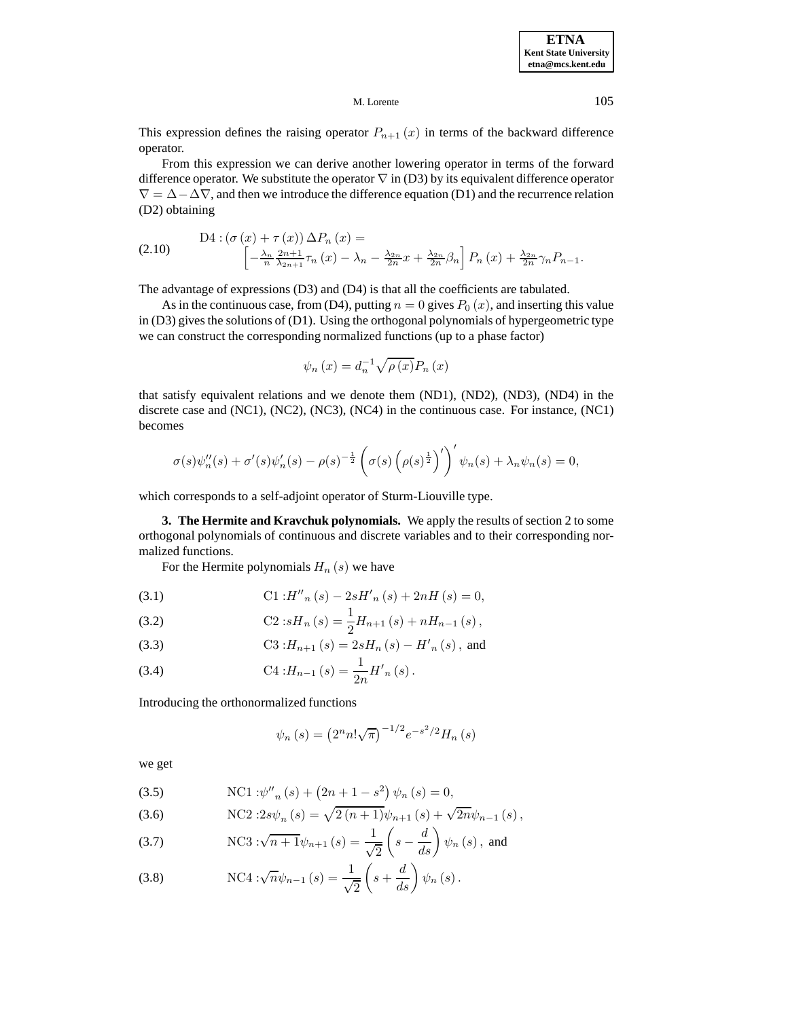**ETNA Kent State University etna@mcs.kent.edu**

M. Lorente 105

This expression defines the raising operator  $P_{n+1}(x)$  in terms of the backward difference operator.

From this expression we can derive another lowering operator in terms of the forward difference operator. We substitute the operator  $\nabla$  in (D3) by its equivalent difference operator  $\nabla = \Delta - \Delta \nabla$ , and then we introduce the difference equation (D1) and the recurrence relation (D2) obtaining

(2.10) 
$$
D4: (\sigma(x) + \tau(x)) \Delta P_n(x) =
$$

$$
\left[ -\frac{\lambda_n}{n} \frac{2n+1}{\lambda_{2n+1}} \tau_n(x) - \lambda_n - \frac{\lambda_{2n}}{2n} x + \frac{\lambda_{2n}}{2n} \beta_n \right] P_n(x) + \frac{\lambda_{2n}}{2n} \gamma_n P_{n-1}.
$$

The advantage of expressions (D3) and (D4) is that all the coefficients are tabulated.

As in the continuous case, from (D4), putting  $n = 0$  gives  $P_0(x)$ , and inserting this value in (D3) gives the solutions of (D1). Using the orthogonal polynomials of hypergeometric type we can construct the corresponding normalized functions (up to a phase factor)

$$
\psi_n(x) = d_n^{-1} \sqrt{\rho(x)} P_n(x)
$$

that satisfy equivalent relations and we denote them (ND1), (ND2), (ND3), (ND4) in the discrete case and (NC1), (NC2), (NC3), (NC4) in the continuous case. For instance, (NC1) becomes

$$
\sigma(s)\psi_n''(s) + \sigma'(s)\psi_n'(s) - \rho(s)^{-\frac{1}{2}} \left(\sigma(s)\left(\rho(s)^{\frac{1}{2}}\right)'\right)' \psi_n(s) + \lambda_n \psi_n(s) = 0,
$$

which corresponds to a self-adjoint operator of Sturm-Liouville type.

**3. The Hermite and Kravchuk polynomials.** We apply the results of section 2 to some orthogonal polynomials of continuous and discrete variables and to their corresponding normalized functions.

For the Hermite polynomials  $H_n(s)$  we have

(3.1) 
$$
\text{C1}:H''_n(s)-2sH'_n(s)+2nH(s)=0,
$$

(3.2) 
$$
\text{C2:} sH_n(s) = \frac{1}{2} H_{n+1}(s) + nH_{n-1}(s),
$$

(3.3) 
$$
C3: H_{n+1}(s) = 2sH_n(s) - H'_n(s), \text{ and}
$$

(3.4) 
$$
\text{C4}:H_{n-1}(s) = \frac{1}{2n}H'_n(s).
$$

Introducing the orthonormalized functions

$$
\psi_n(s) = (2^n n! \sqrt{\pi})^{-1/2} e^{-s^2/2} H_n(s)
$$

we get

(3.5) NC1: 
$$
\psi''_n(s) + (2n + 1 - s^2) \psi_n(s) = 0,
$$

(3.6) NC2:2s
$$
\psi_n(s) = \sqrt{2(n+1)}\psi_{n+1}(s) + \sqrt{2n}\psi_{n-1}(s)
$$
,

(3.7) NC3: 
$$
\sqrt{n+1}\psi_{n+1}(s) = \frac{1}{\sqrt{2}}\left(s - \frac{d}{ds}\right)\psi_n(s)
$$
, and

(3.8) NC4: 
$$
\sqrt{n}\psi_{n-1}(s) = \frac{1}{\sqrt{2}}\left(s + \frac{d}{ds}\right)\psi_n(s)
$$
.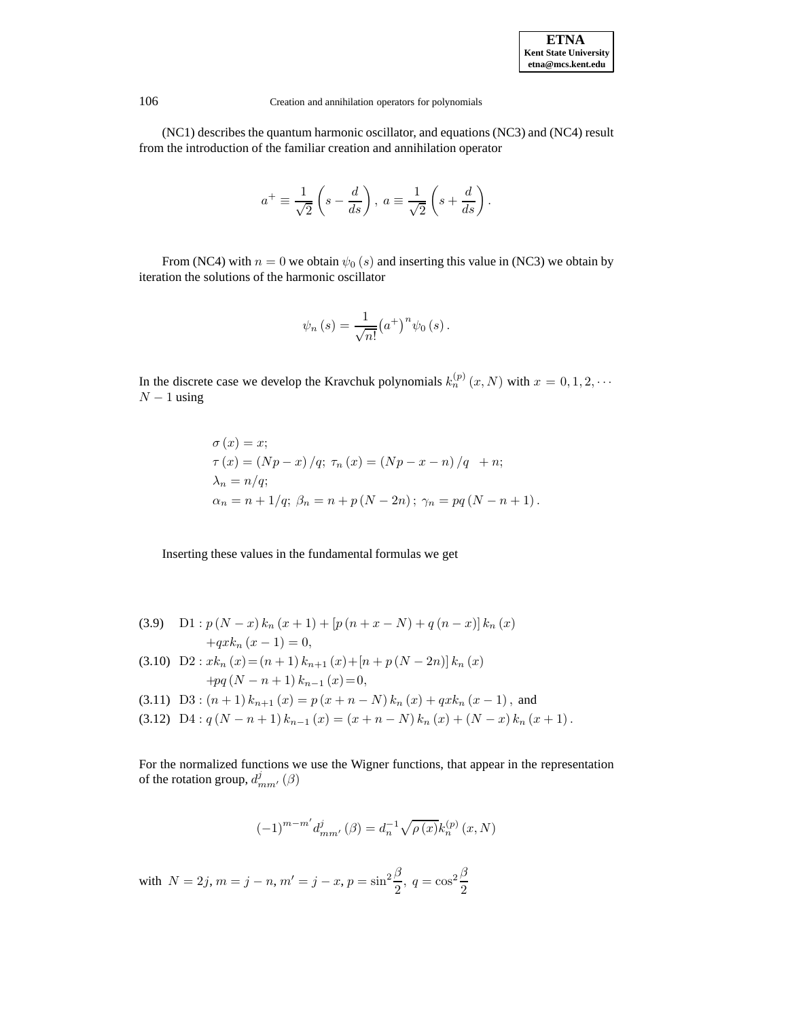

(NC1) describes the quantum harmonic oscillator, and equations (NC3) and (NC4) result from the introduction of the familiar creation and annihilation operator

$$
a^{+} \equiv \frac{1}{\sqrt{2}} \left( s - \frac{d}{ds} \right), \ a \equiv \frac{1}{\sqrt{2}} \left( s + \frac{d}{ds} \right).
$$

From (NC4) with  $n = 0$  we obtain  $\psi_0$  (s) and inserting this value in (NC3) we obtain by iteration the solutions of the harmonic oscillator

$$
\psi_n(s) = \frac{1}{\sqrt{n!}} (a^+)^n \psi_0(s).
$$

In the discrete case we develop the Kravchuk polynomials  $k_n^{(p)}(x, N)$  with  $x = 0, 1, 2, \cdots$  $N-1$  using

$$
\sigma(x) = x; \n\tau(x) = (Np - x) / q; \ \tau_n(x) = (Np - x - n) / q + n; \n\lambda_n = n/q; \n\alpha_n = n + 1/q; \ \beta_n = n + p(N - 2n); \ \gamma_n = pq(N - n + 1).
$$

Inserting these values in the fundamental formulas we get

- (3.9) D1 :  $p(N-x) k_n(x+1) + [p(n+x-N) + q(n-x)] k_n(x)$  $+qxk_n (x - 1) = 0,$
- (3.10)  $D2: x k_n(x) = (n+1) k_{n+1}(x) + [n+p(N-2n)] k_n(x)$  $+pq (N - n + 1) k_{n-1} (x) = 0,$
- (3.11) D3 :  $(n+1) k_{n+1}(x) = p(x+n-N) k_n(x) + qx k_n(x-1)$ , and
- (3.12) D4 :  $q (N n + 1) k_{n-1} (x) = (x + n N) k_n (x) + (N x) k_n (x + 1).$

For the normalized functions we use the Wigner functions, that appear in the representation of the rotation group,  $d_{mm'}^j(\beta)$ 

$$
(-1)^{m-m'} d_{mm'}^{j}(\beta) = d_n^{-1} \sqrt{\rho(x)} k_n^{(p)}(x, N)
$$

with  $N = 2j$ ,  $m = j - n$ ,  $m' = j - x$ ,  $p = \sin^2 \frac{\beta}{2}$ ,  $q = \cos^2 \frac{\beta}{2}$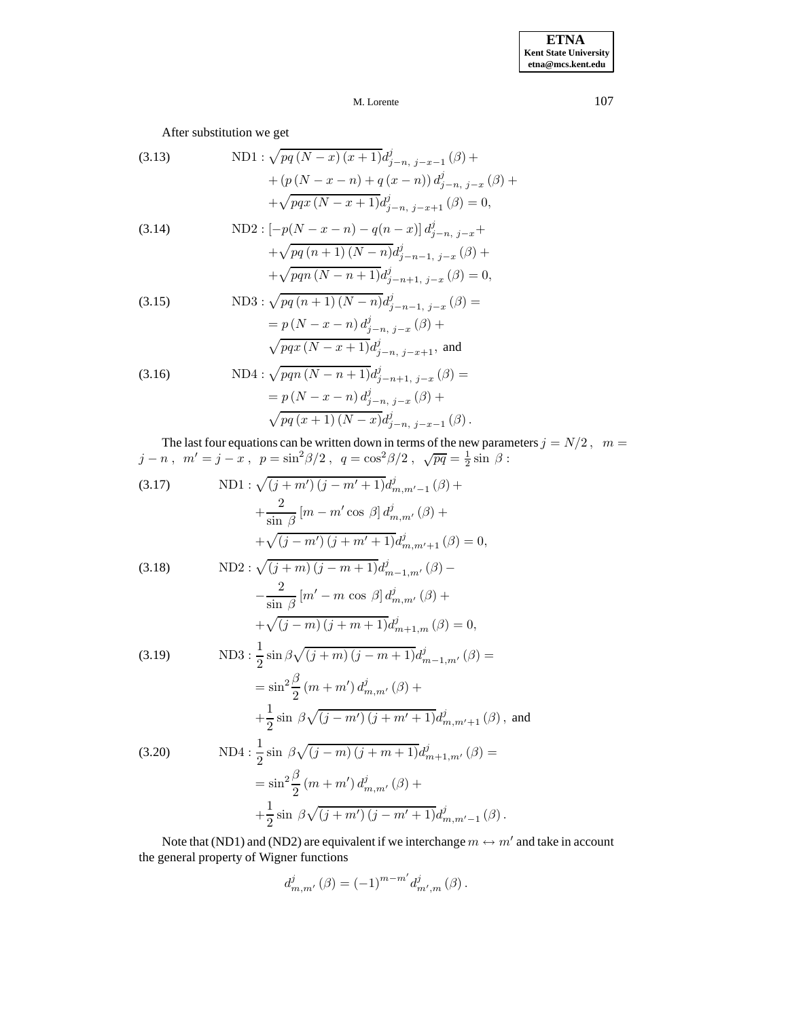After substitution we get

(3.13) 
$$
\text{ND1}: \sqrt{pq (N-x) (x+1)} d_{j-n, j-x-1}^{j} (\beta) +
$$

$$
+ (p (N-x-n) + q (x-n)) d_{j-n, j-x}^{j} (\beta) +
$$

$$
+ \sqrt{pqx (N-x+1)} d_{j-n, j-x+1}^{j} (\beta) = 0,
$$
  
(3.14) 
$$
\text{ND2}: [-p(N-x-n) - q(n-x)] d_{j-n, j-x}^{j} +
$$

$$
+ \sqrt{pq (n+1) (N-n)} d_{j-n-1, j-x}^{j} (\beta) +
$$

$$
+ \sqrt{pqn (N-n+1)} d_{j-n+1, j-x}^{j} (\beta) = 0,
$$
  
(3.15) 
$$
\text{ND3}: \sqrt{pq (n+1) (N-n)} d_{j-n, j-x}^{j} (\beta) =
$$

$$
= p (N-x-n) d_{j-n, j-x+1}^{j}, \text{ and}
$$
  
(3.16) 
$$
\text{ND4}: \sqrt{pqn (N-n+1)} d_{j-n, j-x+1}^{j}, \text{ and}
$$

$$
\text{(3.16)} \text{ND4}: \sqrt{pqn (N-n+1)} d_{j-n+1, j-x}^{j} (\beta) =
$$

$$
= p (N-x-n) d_{j}^{j} (N+x-n) d_{j-n+1, j-x}^{j} (\beta) +
$$

$$
= p (N - x - n) d_{j-n, j-x}^{j} (\beta) +
$$
  
\n
$$
\sqrt{pq (x + 1) (N - x) d_{j-n, j-x-1}^{j}} (\beta).
$$

The last four equations can be written down in terms of the new parameters  $j = N/2$ ,  $m =$  $j - n$ ,  $m' = j - x$ ,  $p = \sin^2 \frac{\beta}{2}$ ,  $q = \cos^2 \frac{\beta}{2}$ ,  $\sqrt{pq} = \frac{1}{2} \sin \beta$ :

(3.17) 
$$
\text{ND1}: \sqrt{(j+m')(j-m'+1)}d_{m,m'-1}^j(\beta) + \frac{2}{\sin \beta}[m-m'\cos \beta]d_{m,m'}^j(\beta) + \sqrt{(j-m')(j+m'+1)}d_{m,m'+1}^j(\beta) = 0,
$$
  
(3.18) 
$$
\text{ND2}: \sqrt{(j+m)(j-m+1)}d_{m-1,m'}^j(\beta) - \frac{2}{\sin \beta}[m'-m\cos \beta]d_{m,m'}^j(\beta) + \sqrt{(j-m)(j+m+1)}d_{m+1,m}^j(\beta) = 0,
$$

(3.19) 
$$
\text{ND3}: \frac{1}{2}\sin\beta\sqrt{(j+m)(j-m+1)}d_{m-1,m'}^{j}(\beta) =
$$

$$
= \sin^{2}\frac{\beta}{2}(m+m')d_{m,m'}^{j}(\beta) +
$$

$$
+\frac{1}{2}\sin\beta\sqrt{(j-m')(j+m'+1)}d_{m,m'+1}^{j}(\beta), \text{ and}
$$
  
(3.20) 
$$
\text{ND4}: \frac{1}{2}\sin\beta\sqrt{(j-m)(j+m+1)}d_{m+1,m'}^{j}(\beta) =
$$

$$
= \sin^{2}\frac{\beta}{2}(m+m')d_{m,m'}^{j}(\beta) +
$$

$$
+\frac{1}{2}\sin\beta\sqrt{(j+m')(j-m'+1)}d_{m,m'-1}^{j}(\beta).
$$

Note that (ND1) and (ND2) are equivalent if we interchange  $m \leftrightarrow m'$  and take in account the general property of Wigner functions

$$
d_{m,m'}^{j}(\beta) = (-1)^{m-m'} d_{m',m}^{j}(\beta).
$$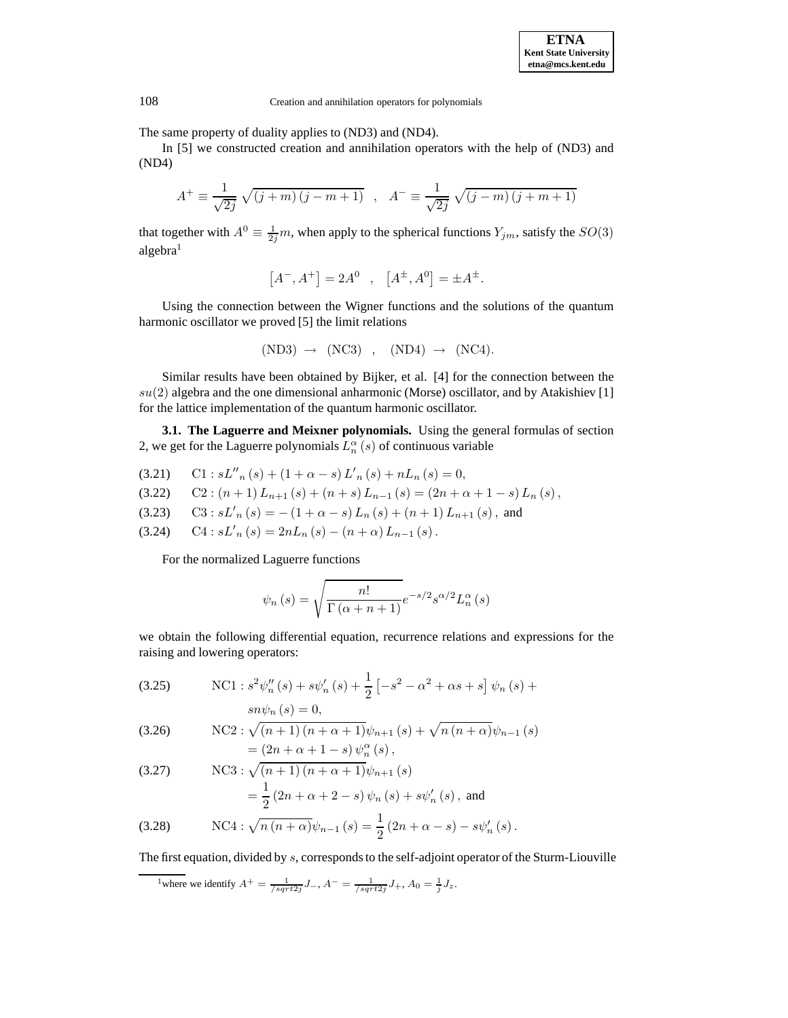The same property of duality applies to (ND3) and (ND4).

In [5] we constructed creation and annihilation operators with the help of (ND3) and (ND4)

$$
A^{+} \equiv \frac{1}{\sqrt{2j}} \sqrt{(j+m)(j-m+1)} , A^{-} \equiv \frac{1}{\sqrt{2j}} \sqrt{(j-m)(j+m+1)}
$$

that together with  $A^0 \equiv \frac{1}{2j}m$ , when apply to the spherical functions  $Y_{jm}$ , satisfy the  $SO(3)$ algebra<sup>1</sup>

$$
\left[A^{-},A^{+}\right]=2A^{0}\ \ ,\ \ \left[A^{\pm},A^{0}\right]=\pm A^{\pm}.
$$

Using the connection between the Wigner functions and the solutions of the quantum harmonic oscillator we proved [5] the limit relations

$$
(ND3) \rightarrow (NC3) , (ND4) \rightarrow (NC4).
$$

Similar results have been obtained by Bijker, et al. [4] for the connection between the  $su(2)$  algebra and the one dimensional anharmonic (Morse) oscillator, and by Atakishiev [1] for the lattice implementation of the quantum harmonic oscillator.

**3.1. The Laguerre and Meixner polynomials.** Using the general formulas of section 2, we get for the Laguerre polynomials  $L_n^{\alpha}(s)$  of continuous variable

(3.21) C1 :  $sL_{n}(s) + (1 + \alpha - s)L_{n}'(s) + nL_{n}(s) = 0$ ,

(3.22) 
$$
C2: (n+1) L_{n+1}(s) + (n+s) L_{n-1}(s) = (2n+\alpha+1-s) L_n(s),
$$

- (3.23)  $C3 : sL'_n(s) = -(1 + \alpha s)L_n(s) + (n + 1)L_{n+1}(s)$ , and
- (3.24)  $CA : sL'_n(s) = 2nL_n(s) (n+\alpha)L_{n-1}(s)$ .

For the normalized Laguerre functions

$$
\psi_n(s) = \sqrt{\frac{n!}{\Gamma(\alpha + n + 1)}} e^{-s/2} s^{\alpha/2} L_n^{\alpha}(s)
$$

we obtain the following differential equation, recurrence relations and expressions for the raising and lowering operators:

(3.25) NC1: 
$$
s^2 \psi_n''(s) + s \psi_n'(s) + \frac{1}{2} [-s^2 - \alpha^2 + \alpha s + s] \psi_n(s) +
$$
  

$$
sn \psi_n(s) = 0,
$$

(3.26) NC2: 
$$
\sqrt{(n+1)(n+\alpha+1)}\psi_{n+1}(s) + \sqrt{n(n+\alpha)}\psi_{n-1}(s)
$$
  
=  $(2n+\alpha+1-s)\psi_n^{\alpha}(s)$ ,

(3.27) NC3: 
$$
\sqrt{(n+1)(n+\alpha+1)}\psi_{n+1}(s)
$$
  
=  $\frac{1}{2}(2n+\alpha+2-s)\psi_n(s) + s\psi'_n(s)$ , and

(3.28) 
$$
NCA: \sqrt{n(n+\alpha)}\psi_{n-1}(s) = \frac{1}{2}(2n+\alpha-s) - s\psi'_n(s).
$$

The first equation, divided by s, corresponds to the self-adjoint operator of the Sturm-Liouville

<sup>&</sup>lt;sup>1</sup>where we identify  $A^+ = \frac{1}{\sqrt{sqrt{2j}}} J_-, A^- = \frac{1}{\sqrt{sqrt{2j}}} J_+, A_0 = \frac{1}{j} J_z.$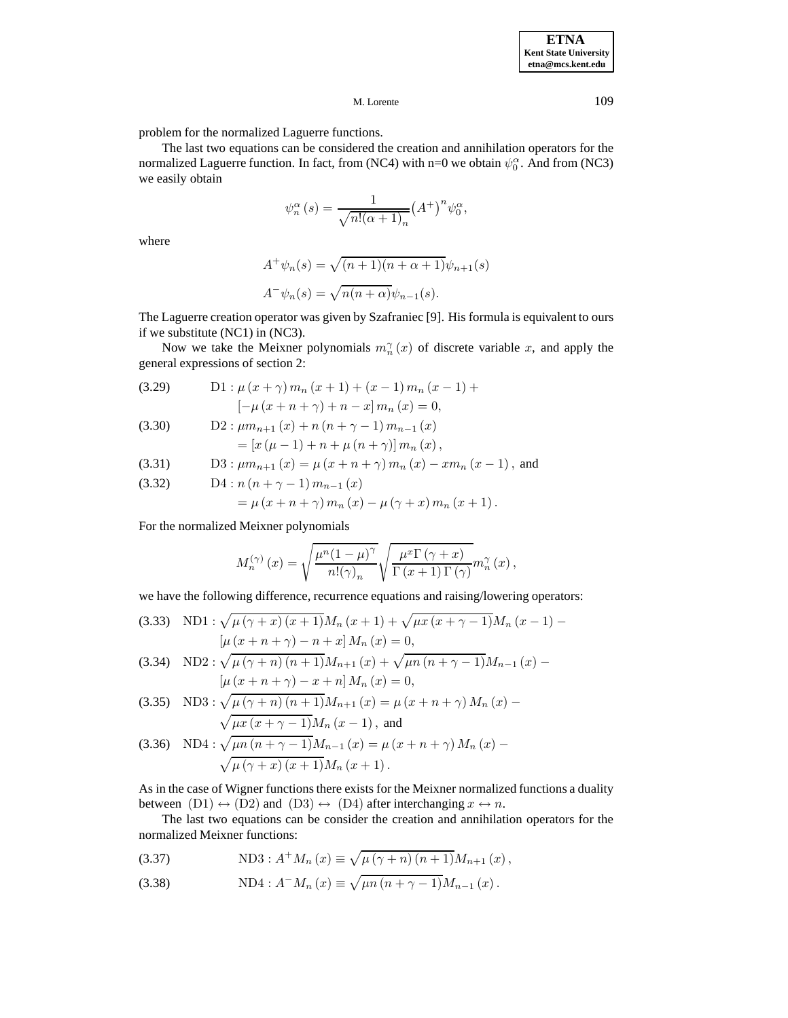problem for the normalized Laguerre functions.

The last two equations can be considered the creation and annihilation operators for the normalized Laguerre function. In fact, from (NC4) with n=0 we obtain  $\psi_0^{\alpha}$ . And from (NC3) we easily obtain

$$
\psi_n^{\alpha}(s) = \frac{1}{\sqrt{n!(\alpha+1)_n}} (A^+)^n \psi_0^{\alpha},
$$

where

$$
A^+\psi_n(s) = \sqrt{(n+1)(n+\alpha+1)}\psi_{n+1}(s)
$$
  

$$
A^-\psi_n(s) = \sqrt{n(n+\alpha)}\psi_{n-1}(s).
$$

The Laguerre creation operator was given by Szafraniec [9]. His formula is equivalent to ours if we substitute (NC1) in (NC3).

Now we take the Meixner polynomials  $m_n^{\gamma}(x)$  of discrete variable x, and apply the general expressions of section 2:

(3.29) D1: 
$$
\mu(x + \gamma) m_n(x + 1) + (x - 1) m_n(x - 1) +
$$
  
\n
$$
[-\mu(x + n + \gamma) + n - x] m_n(x) = 0,
$$

(3.30) 
$$
D2: \mu m_{n+1}(x) + n (n + \gamma - 1) m_{n-1}(x) = [x (\mu - 1) + n + \mu (n + \gamma)] m_n(x),
$$

(3.31) D3: 
$$
\mu m_{n+1}(x) = \mu (x + n + \gamma) m_n(x) - x m_n(x-1)
$$
, and

(3.32) 
$$
D4: n (n + \gamma - 1) m_{n-1} (x)
$$

$$
= \mu (x + n + \gamma) m_n (x) - \mu (\gamma + x) m_n (x + 1).
$$

For the normalized Meixner polynomials

$$
M_n^{(\gamma)}(x) = \sqrt{\frac{\mu^n (1-\mu)^{\gamma}}{n!(\gamma)_n}} \sqrt{\frac{\mu^x \Gamma(\gamma+x)}{\Gamma(x+1) \Gamma(\gamma)}} m_n^{\gamma}(x) ,
$$

we have the following difference, recurrence equations and raising/lowering operators:

(3.33) NDI: 
$$
\sqrt{\mu(\gamma + x)(x + 1)}M_n(x + 1) + \sqrt{\mu x(x + \gamma - 1)}M_n(x - 1) -
$$
  
\n
$$
[\mu(x + n + \gamma) - n + x]M_n(x) = 0,
$$

(3.34) ND2: 
$$
\sqrt{\mu(\gamma+n)(n+1)}M_{n+1}(x) + \sqrt{\mu n(n+\gamma-1)}M_{n-1}(x) -
$$
  
\n
$$
[\mu(x+n+\gamma)-x+n]M_n(x) = 0,
$$

(3.35) ND3: 
$$
\sqrt{\mu (\gamma + n) (n + 1)} M_{n+1}(x) = \mu (x + n + \gamma) M_n(x) -
$$
  
 $\sqrt{\mu x (x + \gamma - 1)} M_n(x - 1)$ , and

(3.36) ND4: 
$$
\sqrt{\mu n (n + \gamma - 1)} M_{n-1}(x) = \mu (x + n + \gamma) M_n(x) -
$$
  
 $\sqrt{\mu (\gamma + x) (x + 1)} M_n(x + 1)$ .

As in the case of Wigner functions there exists for the Meixner normalized functions a duality between  $(D1) \leftrightarrow (D2)$  and  $(D3) \leftrightarrow (D4)$  after interchanging  $x \leftrightarrow n$ .

The last two equations can be consider the creation and annihilation operators for the normalized Meixner functions:

(3.37) 
$$
\text{ND3}: A^{+} M_{n}(x) \equiv \sqrt{\mu (\gamma + n) (n+1)} M_{n+1}(x),
$$

(3.38) 
$$
\text{ND4}: A^{-}M_{n}(x) \equiv \sqrt{\mu n (n + \gamma - 1)} M_{n-1}(x).
$$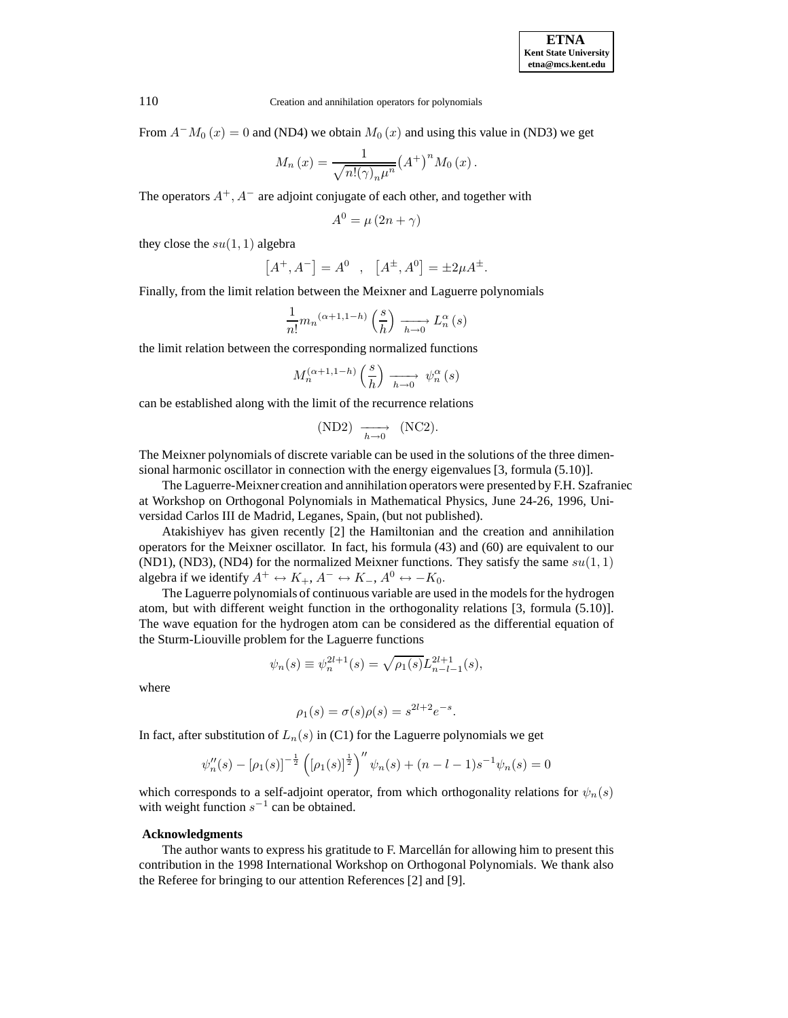From  $A^-M_0(x)=0$  and (ND4) we obtain  $M_0(x)$  and using this value in (ND3) we get

$$
M_n(x) = \frac{1}{\sqrt{n! (\gamma)_n \mu^n}} (A^+)^n M_0(x).
$$

The operators  $A^+, A^-$  are adjoint conjugate of each other, and together with

$$
A^0 = \mu (2n + \gamma)
$$

they close the  $su(1, 1)$  algebra

$$
[A^+, A^-] = A^0 \quad , \quad [A^{\pm}, A^0] = \pm 2\mu A^{\pm}.
$$

Finally, from the limit relation between the Meixner and Laguerre polynomials

$$
\frac{1}{n!}m_n {}^{(\alpha+1,1-h)}\left(\frac{s}{h}\right)\xrightarrow[h\to 0]{}L_n^\alpha\left(s\right)
$$

the limit relation between the corresponding normalized functions

$$
M_n^{(\alpha+1,1-h)}\left(\frac{s}{h}\right) \xrightarrow[h \to 0]{} \psi_n^{\alpha}(s)
$$

can be established along with the limit of the recurrence relations

$$
(ND2) \xrightarrow[h \to 0]{} (NC2).
$$

The Meixner polynomials of discrete variable can be used in the solutions of the three dimensional harmonic oscillator in connection with the energy eigenvalues [3, formula (5.10)].

The Laguerre-Meixner creation and annihilation operators were presented by F.H. Szafraniec at Workshop on Orthogonal Polynomials in Mathematical Physics, June 24-26, 1996, Universidad Carlos III de Madrid, Leganes, Spain, (but not published).

Atakishiyev has given recently [2] the Hamiltonian and the creation and annihilation operators for the Meixner oscillator. In fact, his formula (43) and (60) are equivalent to our (ND1), (ND3), (ND4) for the normalized Meixner functions. They satisfy the same  $su(1, 1)$ algebra if we identify  $A^+ \leftrightarrow K_+, A^- \leftrightarrow K_-, A^0 \leftrightarrow -K_0$ .

The Laguerre polynomials of continuous variable are used in the models for the hydrogen atom, but with different weight function in the orthogonality relations [3, formula (5.10)]. The wave equation for the hydrogen atom can be considered as the differential equation of the Sturm-Liouville problem for the Laguerre functions

$$
\psi_n(s) \equiv \psi_n^{2l+1}(s) = \sqrt{\rho_1(s)} L_{n-l-1}^{2l+1}(s),
$$

where

$$
\rho_1(s) = \sigma(s)\rho(s) = s^{2l+2}e^{-s}.
$$

In fact, after substitution of  $L_n(s)$  in (C1) for the Laguerre polynomials we get

$$
\psi_n''(s) - [\rho_1(s)]^{-\frac{1}{2}} \left( [\rho_1(s)]^{\frac{1}{2}} \right)^n \psi_n(s) + (n - l - 1)s^{-1} \psi_n(s) = 0
$$

which corresponds to a self-adjoint operator, from which orthogonality relations for  $\psi_n(s)$ with weight function  $s^{-1}$  can be obtained.

## **Acknowledgments**

The author wants to express his gratitude to F. Marcellan for allowing him to present this contribution in the 1998 International Workshop on Orthogonal Polynomials. We thank also the Referee for bringing to our attention References [2] and [9].